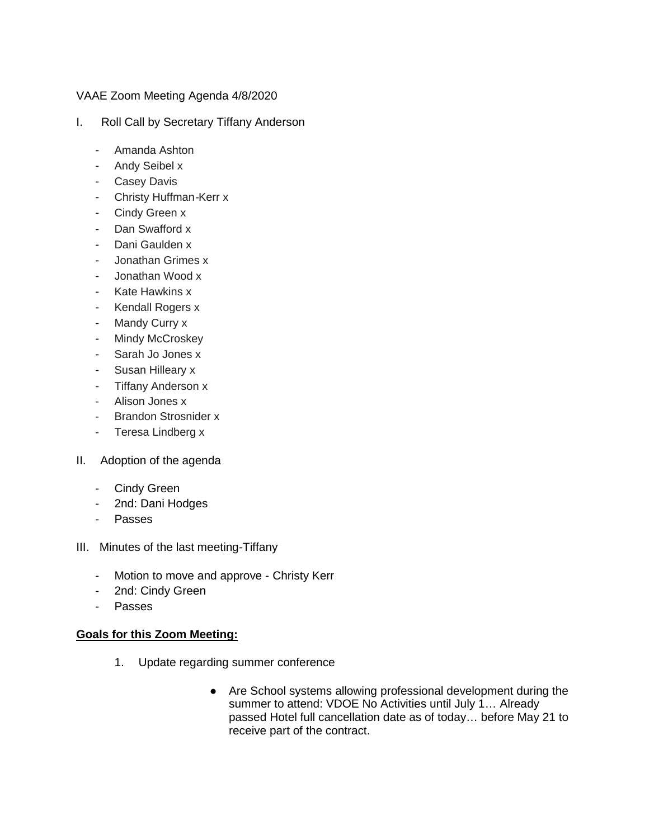## VAAE Zoom Meeting Agenda 4/8/2020

- I. Roll Call by Secretary Tiffany Anderson
	- Amanda Ashton
	- Andy Seibel x
	- Casey Davis
	- Christy Huffman-Kerr x
	- Cindy Green x
	- Dan Swafford x
	- Dani Gaulden x
	- Jonathan Grimes x
	- Jonathan Wood x
	- Kate Hawkins x
	- Kendall Rogers x
	- Mandy Curry x
	- Mindy McCroskey
	- Sarah Jo Jones x
	- Susan Hilleary x
	- Tiffany Anderson x
	- Alison Jones x
	- Brandon Strosnider x
	- Teresa Lindberg x
- II. Adoption of the agenda
	- Cindy Green
	- 2nd: Dani Hodges
	- Passes
- III. Minutes of the last meeting-Tiffany
	- Motion to move and approve Christy Kerr
	- 2nd: Cindy Green
	- Passes

## **Goals for this Zoom Meeting:**

- 1. Update regarding summer conference
	- Are School systems allowing professional development during the summer to attend: VDOE No Activities until July 1… Already passed Hotel full cancellation date as of today… before May 21 to receive part of the contract.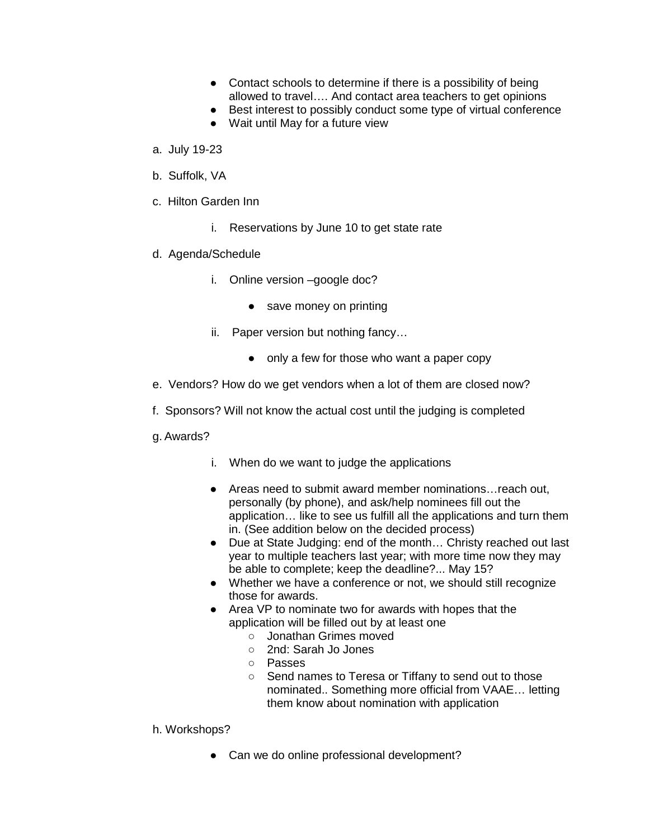- Contact schools to determine if there is a possibility of being allowed to travel…. And contact area teachers to get opinions
- Best interest to possibly conduct some type of virtual conference
- Wait until May for a future view
- a. July 19-23
- b. Suffolk, VA
- c. Hilton Garden Inn
	- i. Reservations by June 10 to get state rate
- d. Agenda/Schedule
	- i. Online version –google doc?
		- save money on printing
	- ii. Paper version but nothing fancy…
		- only a few for those who want a paper copy
- e. Vendors? How do we get vendors when a lot of them are closed now?
- f. Sponsors? Will not know the actual cost until the judging is completed
- g. Awards?
	- i. When do we want to judge the applications
	- Areas need to submit award member nominations…reach out, personally (by phone), and ask/help nominees fill out the application… like to see us fulfill all the applications and turn them in. (See addition below on the decided process)
	- Due at State Judging: end of the month… Christy reached out last year to multiple teachers last year; with more time now they may be able to complete; keep the deadline?... May 15?
	- Whether we have a conference or not, we should still recognize those for awards.
	- Area VP to nominate two for awards with hopes that the application will be filled out by at least one
		- Jonathan Grimes moved
		- 2nd: Sarah Jo Jones
		- Passes
		- Send names to Teresa or Tiffany to send out to those nominated.. Something more official from VAAE… letting them know about nomination with application
- h. Workshops?
	- Can we do online professional development?